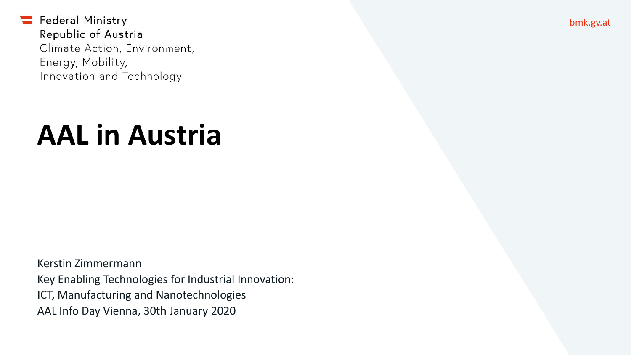# **AAL in Austria**

Kerstin Zimmermann Key Enabling Technologies for Industrial Innovation: ICT, Manufacturing and Nanotechnologies AAL Info Day Vienna, 30th January 2020

bmk.gv.at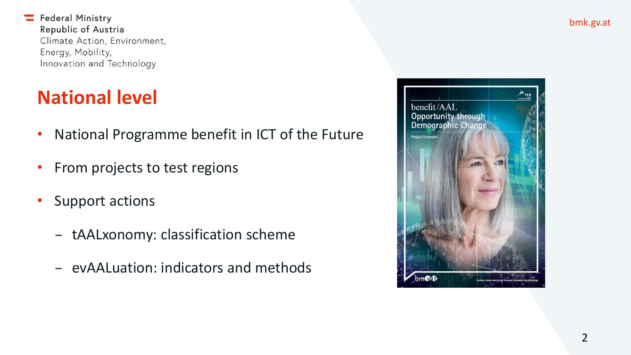#### **National level**

- National Programme benefit in ICT of the Future
- From projects to test regions
- Support actions
	- − tAALxonomy: classification scheme
	- − evAALuation: indicators and methods

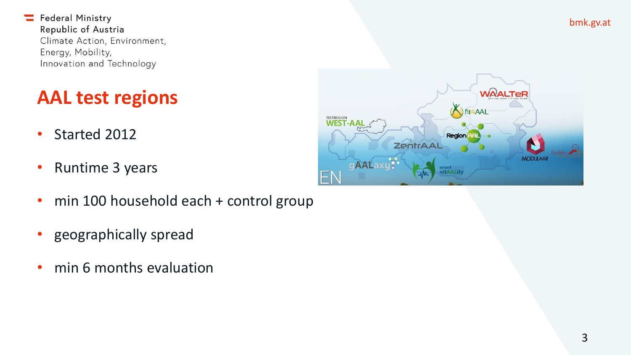#### **AAL test regions**

- Started 2012
- Runtime 3 years
- min 100 household each + control group
- geographically spread
- min 6 months evaluation



bmk.gv.at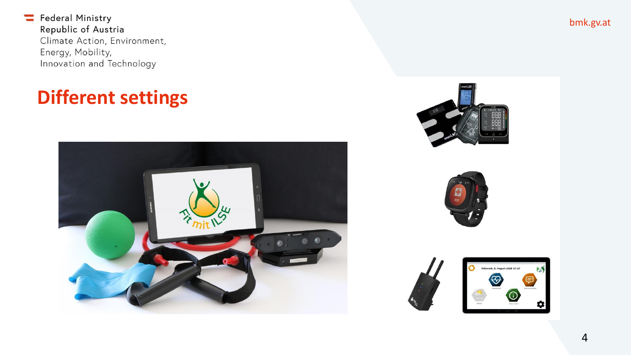#### **Different settings**



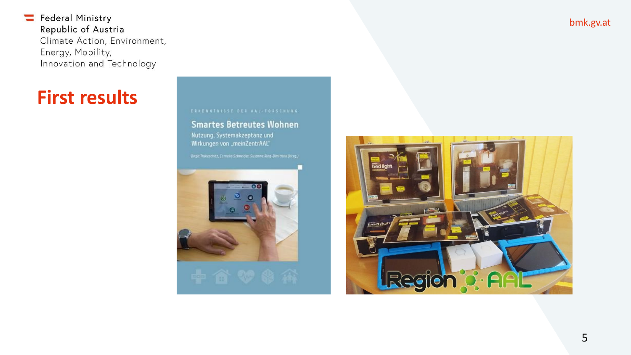#### **First results**

#### **Smartes Betreutes Wohnen**

Wirkungen von "meinZentrAAL"





bmk.gv.at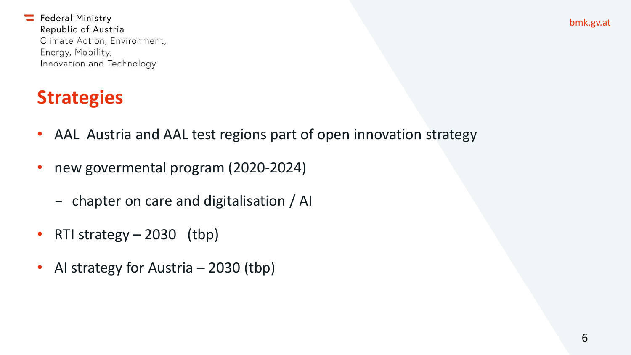bmk.gv.at

Federal Ministry Republic of Austria Climate Action, Environment, Energy, Mobility, Innovation and Technology

#### **Strategies**

- AAL Austria and AAL test regions part of open innovation strategy
- new govermental program (2020-2024)
	- − chapter on care and digitalisation / AI
- RTI strategy  $-2030$  (tbp)
- AI strategy for Austria 2030 (tbp)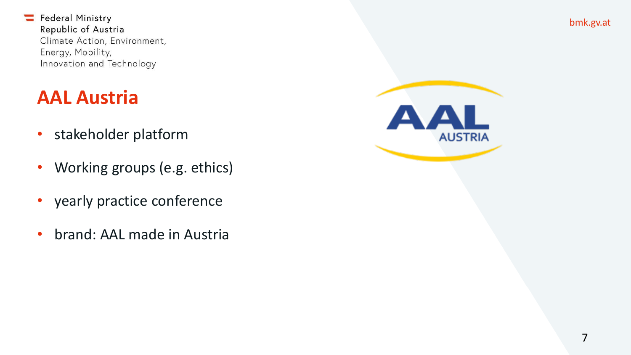#### **AAL Austria**

- stakeholder platform
- Working groups (e.g. ethics)
- yearly practice conference
- brand: AAL made in Austria

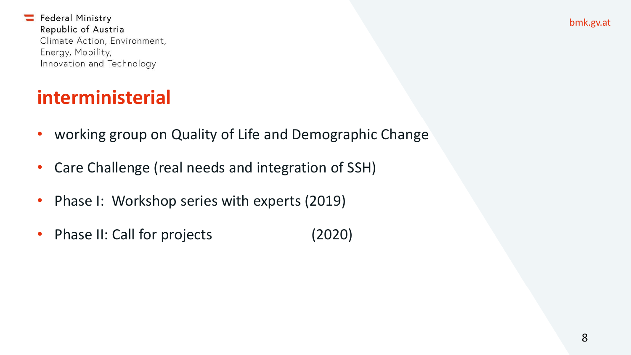bmk.gv.at

Federal Ministry Republic of Austria Climate Action, Environment, Energy, Mobility, Innovation and Technology

#### **interministerial**

- working group on Quality of Life and Demographic Change
- Care Challenge (real needs and integration of SSH)
- Phase I: Workshop series with experts (2019)
- Phase II: Call for projects (2020)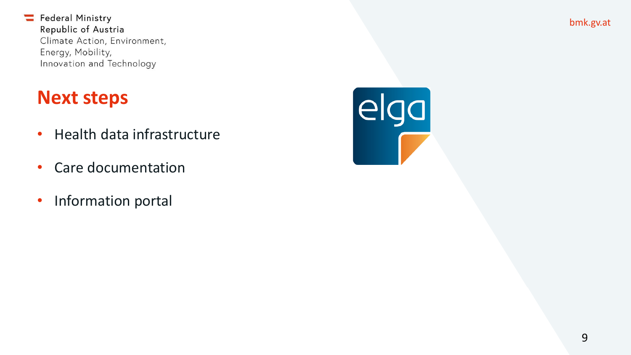#### **Next steps**

- Health data infrastructure
- Care documentation
- Information portal

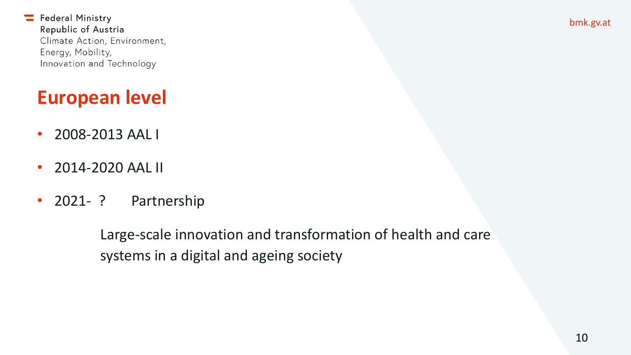## **European level**

- 2008-2013 AAL I
- 2014-2020 AAL II
- 2021- ? Partnership

Large-scale innovation and transformation of health and care systems in a digital and ageing society